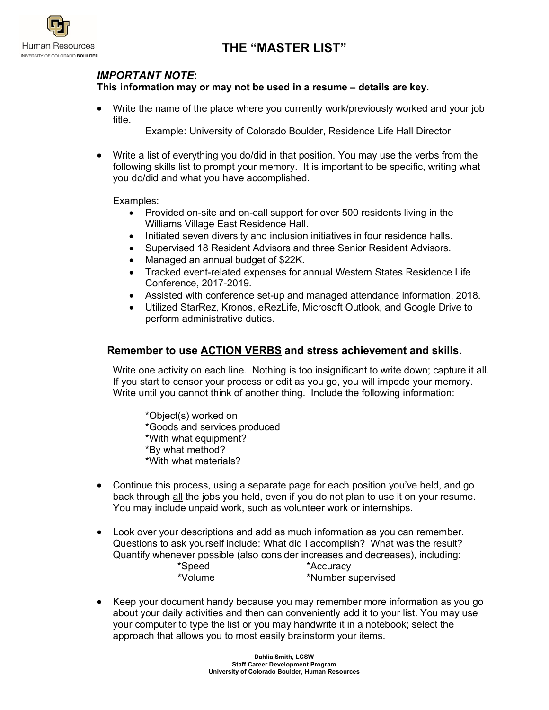



## *IMPORTANT NOTE***:**

## **This information may or may not be used in a resume – details are key.**

• Write the name of the place where you currently work/previously worked and your job title.

Example: University of Colorado Boulder, Residence Life Hall Director

• Write a list of everything you do/did in that position. You may use the verbs from the following skills list to prompt your memory. It is important to be specific, writing what you do/did and what you have accomplished.

Examples:

- Provided on-site and on-call support for over 500 residents living in the Williams Village East Residence Hall.
- Initiated seven diversity and inclusion initiatives in four residence halls.
- Supervised 18 Resident Advisors and three Senior Resident Advisors.
- Managed an annual budget of \$22K.
- Tracked event-related expenses for annual Western States Residence Life Conference, 2017-2019.
- Assisted with conference set-up and managed attendance information, 2018.
- Utilized StarRez, Kronos, eRezLife, Microsoft Outlook, and Google Drive to perform administrative duties.

## **Remember to use ACTION VERBS and stress achievement and skills.**

Write one activity on each line. Nothing is too insignificant to write down; capture it all. If you start to censor your process or edit as you go, you will impede your memory. Write until you cannot think of another thing. Include the following information:

\*Object(s) worked on \*Goods and services produced \*With what equipment? \*By what method? \*With what materials?

- Continue this process, using a separate page for each position you've held, and go back through all the jobs you held, even if you do not plan to use it on your resume. You may include unpaid work, such as volunteer work or internships.
- Look over your descriptions and add as much information as you can remember. Questions to ask yourself include: What did I accomplish? What was the result? Quantify whenever possible (also consider increases and decreases), including: \*Speed \*Accuracy<br>\*Volume \*Number s \*Number supervised
- Keep your document handy because you may remember more information as you go about your daily activities and then can conveniently add it to your list. You may use your computer to type the list or you may handwrite it in a notebook; select the approach that allows you to most easily brainstorm your items.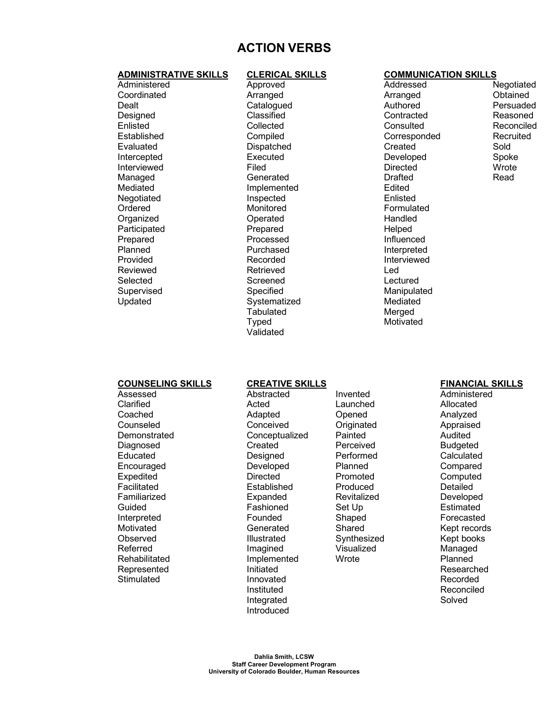# **ACTION VERBS**

### **ADMINISTRATIVE SKILLS CLERICAL SKILLS COMMUNICATION SKILLS**

Administered **Coordinated** Dealt Designed Enlisted Established Evaluated Intercepted Interviewed Managed Mediated Negotiated Ordered **Organized Participated** Prepared Planned Provided Reviewed Selected Supervised Updated

Approved Arranged **Catalogued** Classified Collected **Compiled** Dispatched Executed Filed **Generated** Implemented Inspected Monitored **Operated** Prepared Processed Purchased Recorded Retrieved **Screened** Specified **Systematized Tabulated** Typed Validated

Addressed **Arranged Authored Contracted Consulted** Corresponded Created Developed **Directed** Drafted Edited Enlisted Formulated Handled Helped Influenced Interpreted Interviewed Led Lectured Manipulated Mediated Merged **Motivated** 

Negotiated **Obtained** Persuaded Reasoned Reconciled Recruited Sold Spoke **Wrote** Read

### **COUNSELING SKILLS CREATIVE SKILLS FINANCIAL SKILLS**

Assessed **Clarified** Coached Counseled **Demonstrated Diagnosed** Educated **Encouraged** Expedited Facilitated Familiarized Guided Interpreted Motivated **Observed** Referred **Rehabilitated** Represented **Stimulated** 

Abstracted Acted Adapted **Conceived Conceptualized** Created Designed Developed **Directed** Established **Expanded** Fashioned Founded **Generated** Illustrated Imagined Implemented Initiated Innovated Instituted Integrated Introduced

Invented Launched Opened **Originated** Painted Perceived Performed Planned Promoted Produced **Revitalized** Set Up Shaped Shared Synthesized Visualized **Wrote** 

Administered Allocated Analyzed Appraised Audited **Budgeted Calculated Compared Computed** Detailed Developed **Estimated** Forecasted Kept records Kept books Managed Planned Researched Recorded Reconciled Solved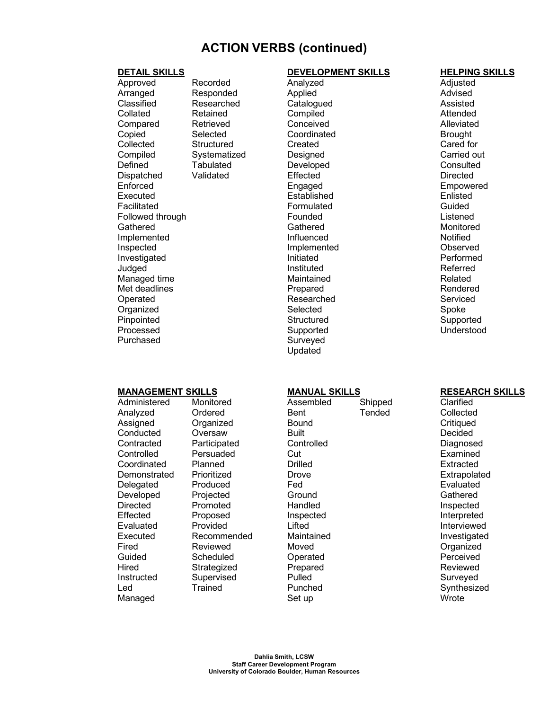# **ACTION VERBS (continued)**

Approved Arranged Classified Collated Compared Copied **Collected Compiled Defined** Dispatched Enforced Executed Facilitated Followed through Gathered Implemented Inspected Investigated Judged Managed time Met deadlines Operated **Organized** Pinpointed Processed Purchased

Recorded Responded Researched Retained Retrieved **Selected Structured** Systematized **Tabulated** Validated

### **DETAIL SKILLS DEVELOPMENT SKILLS HELPING SKILLS**

Analyzed Applied **Catalogued Compiled Conceived Coordinated** Created **Designed** Developed Effected Engaged Established Formulated Founded **Gathered** Influenced Implemented Initiated Instituted **Maintained** Prepared Researched **Selected Structured** Supported Surveyed Updated

Adjusted Advised Assisted **Attended Alleviated Brought** Cared for Carried out **Consulted Directed** Empowered Enlisted Guided Listened Monitored Notified **Observed** Performed Referred Related Rendered Serviced Spoke **Supported** Understood

## **MANAGEMENT SKILLS MANUAL SKILLS RESEARCH SKILLS**

Administered Analyzed Assigned **Conducted Contracted Controlled Coordinated Demonstrated Delegated** Developed **Directed** Effected Evaluated Executed Fired Guided **Hired** Instructed Led Managed

Monitored Ordered **Organized Oversaw** Participated Persuaded Planned Prioritized Produced **Projected** Promoted Proposed Provided Recommended Reviewed **Scheduled Strategized** Supervised Trained

Assembled Bent Bound Built **Controlled Cut Drilled Drove** Fed Ground Handled Inspected Lifted Maintained Moved Operated Prepared Pulled Punched Set up **Shipped Tended** 

**Clarified Collected Critiqued Decided** Diagnosed Examined Extracted Extrapolated Evaluated **Gathered** Inspected Interpreted Interviewed Investigated **Organized Perceived** Reviewed Surveyed Synthesized **Wrote**